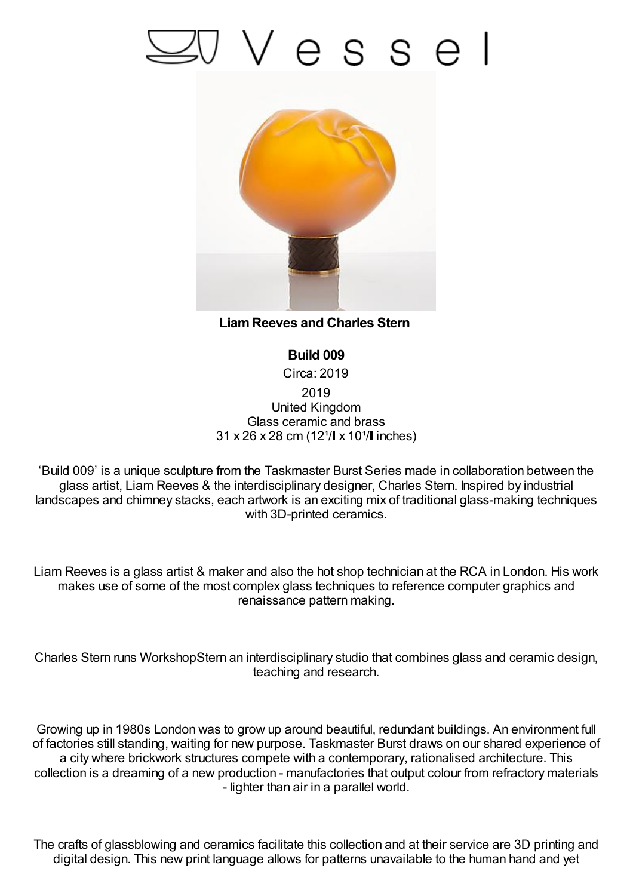## Vesse



**LiamReeves and Charles Stern**

**Build 009** Circa: 2019 2019 United Kingdom Glass ceramic and brass  $31 \times 26 \times 28$  cm (12<sup>1</sup>/ $\pm \times 10^{1}$  inches)

'Build 009' is a unique sculpture from the Taskmaster Burst Series made in collaboration between the glass artist, Liam Reeves & the interdisciplinary designer, Charles Stern. Inspired by industrial landscapes and chimney stacks, each artwork is an exciting mix of traditional glass-making techniques with 3D-printed ceramics.

Liam Reeves is a glass artist & maker and also the hot shop technician at the RCA in London. His work makes use of some of the most complex glass techniques to reference computer graphics and renaissance pattern making.

Charles Stern runs WorkshopStern an interdisciplinary studio that combines glass and ceramic design, teaching and research.

Growing up in 1980s London was to grow up around beautiful, redundant buildings. An environment full of factories still standing, waiting for new purpose. Taskmaster Burst draws on our shared experience of a city where brickwork structures compete with a contemporary, rationalised architecture. This collection is a dreaming of a new production - manufactories that output colour from refractory materials - lighter than air in a parallel world.

The crafts of glassblowing and ceramics facilitate this collection and at their service are 3D printing and digital design. This new print language allows for patterns unavailable to the human hand and yet